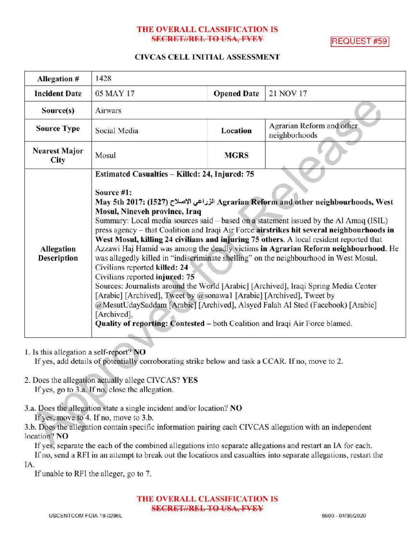# THE OVERALL CLASSIFICATION IS SECRET//REL TO USA, FVEY REQUEST #59

# CIVCAS CELL INITIAL ASSESSMENT

| Allegation #                            | 1428                                                                                                                                                                                                                                                                                                                                                                                                                                                                                                                                                                                                                                                                                                                                                                                                                                                                                                                                                                                                                                                                      |                    |                                            |
|-----------------------------------------|---------------------------------------------------------------------------------------------------------------------------------------------------------------------------------------------------------------------------------------------------------------------------------------------------------------------------------------------------------------------------------------------------------------------------------------------------------------------------------------------------------------------------------------------------------------------------------------------------------------------------------------------------------------------------------------------------------------------------------------------------------------------------------------------------------------------------------------------------------------------------------------------------------------------------------------------------------------------------------------------------------------------------------------------------------------------------|--------------------|--------------------------------------------|
| <b>Incident Date</b>                    | 05 MAY 17                                                                                                                                                                                                                                                                                                                                                                                                                                                                                                                                                                                                                                                                                                                                                                                                                                                                                                                                                                                                                                                                 | <b>Opened Date</b> | 21 NOV 17                                  |
| Source(s)                               | Airwars                                                                                                                                                                                                                                                                                                                                                                                                                                                                                                                                                                                                                                                                                                                                                                                                                                                                                                                                                                                                                                                                   |                    |                                            |
| <b>Source Type</b>                      | Social Media                                                                                                                                                                                                                                                                                                                                                                                                                                                                                                                                                                                                                                                                                                                                                                                                                                                                                                                                                                                                                                                              | Location           | Agrarian Reform and other<br>neighborhoods |
| <b>Nearest Major</b><br>City            | Mosul                                                                                                                                                                                                                                                                                                                                                                                                                                                                                                                                                                                                                                                                                                                                                                                                                                                                                                                                                                                                                                                                     | <b>MGRS</b>        |                                            |
| <b>Allegation</b><br><b>Description</b> | Estimated Casualties - Killed: 24, Injured: 75<br>Source #1:<br>May 5th 2017: (1527) الزراعي الإصلاح Agrarian Reform and other neighbourhoods, West<br>Mosul, Nineveh province, Iraq<br>Summary: Local media sources said – based on a statement issued by the Al Amaq (ISIL)<br>press agency - that Coalition and Iraqi Air Force airstrikes hit several neighbourhoods in<br>West Mosul, killing 24 civilians and injuring 75 others. A local resident reported that<br>Azzawi Haj Hamid was among the deadly victims in Agrarian Reform neighbourhood. He<br>was allegedly killed in "indiscriminate shelling" on the neighbourhood in West Mosul.<br>Civilians reported killed: 24<br>Civilians reported injured: 75<br>Sources: Journalists around the World [Arabic] [Archived], Iraqi Spring Media Center<br>[Arabic] [Archived], Tweet by @sonawa1 [Arabic] [Archived], Tweet by<br>@MesutUdaySaddam [Arabic] [Archived], Alsyed Falah Al Sted (Facebook) [Arabic]<br>[Archived],<br>Quality of reporting: Contested – both Coalition and Iraqi Air Force blamed. |                    |                                            |

- 1. Isthis allegation a self-report? NO If yes, add details of potentially corroborating strike below and task a CCAR. If no, move to 2.
- 2. Does the allegation actually allege CIVCAS? YES If yes, go to 3.a. If no, close the allegation.
- 3.a. Does the allegation state a single incident and/or location? NO If yes, move to 4. If no, move to 3.b.

3.b. Does the allegation contain specific information pairing each CIVCAS allegation with an independent location? NO

If yes, separate the each of the combined allegations into separate allegations and restart an IA for each. If no, send a RFI in an attempt to break out the locations and casualties into separate allegations, restart the IA

If unable to RFI the alleger, go to 7.

THE OVERALL CLASSIFICATION IS **SECRET//REL TO USA, FVEY**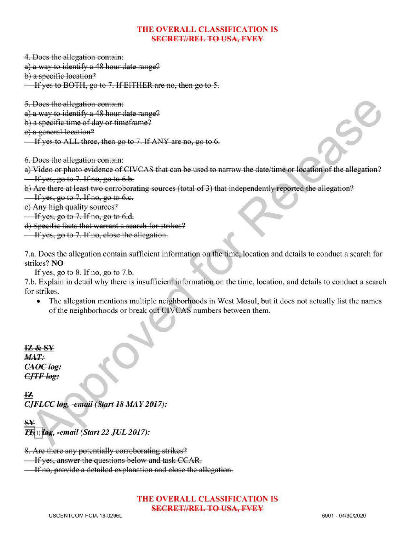# THE OVERALL CLASSIFICATION IS **SECRET//REL TO USA, PVFY**

4. Does the allegation contain:

a) a way to identify a  $48$  hour date range?

b) a specific location?

If yes to BOTH, go to 7. If EITHER are no, then go to 5.

5.Does the allegation contain :

a) a way to identify a 48 hour date range?

b) a specific time of day or timeframe?

e) a general location?

If yes to ALL three, then go to 7. If ANY are no, go to  $6$ .

6. Does the allegation contain :

a) Video or photo evidence of CIVCAS that can be used to narrow the date/ time or location of the allegation?  $\frac{1}{1}$  if yes, go to 7. If no, go to 6.b.

b) Are there at least two corroborating sources (total of 3) that independently reported the allegation?

 $\frac{1}{1}$  yes, go to 7. If no, go to 6.c.

c) Any high quality sources?

 $\frac{1}{2}$  If yes, go to 7. If no, go to 6.d.

d) Specific facts that warrant <sup>a</sup> search for strikes?

 $\overline{\phantom{a}}$  If yes, go to 7. If no, close the allegation.

7.a. Does the allegation contain sufficient information on the time, location and details to conduct a search for strikes? NO

If yes, go to  $8$ . If no, go to  $7.b$ .

7.b. Explain in detail why there is insufficient information on the time, location, and details to conduct a search for strikes.

The allegation mentions multiple neighborhoods in West Mosul, but it does not actually list the names  $\bullet$ of the neighborhoods or break out CIVCAS numbers between them.

IZ & SY MAT: CAOC log:  $CJTF$  log:

 $\frac{12}{2}$ <br>CJFLCC log, -email (Start 18 MAY 2017): CJFLCC log, -email (Start 18 MAY 2017).

 $_{\rm SY}$ 

 $\overline{I}$ (E)  $log$ , -email (Start 22 JUL 2017):

8. Are there any potentially corroborating strikes?

**If yes, answer the questions below and task CCAR.** 

Ifno, provide <sup>a</sup> detailed explanation and close the allegation.

THE OVERALL CLASSIFICATION IS SECRET//REL TO USA, FVEY